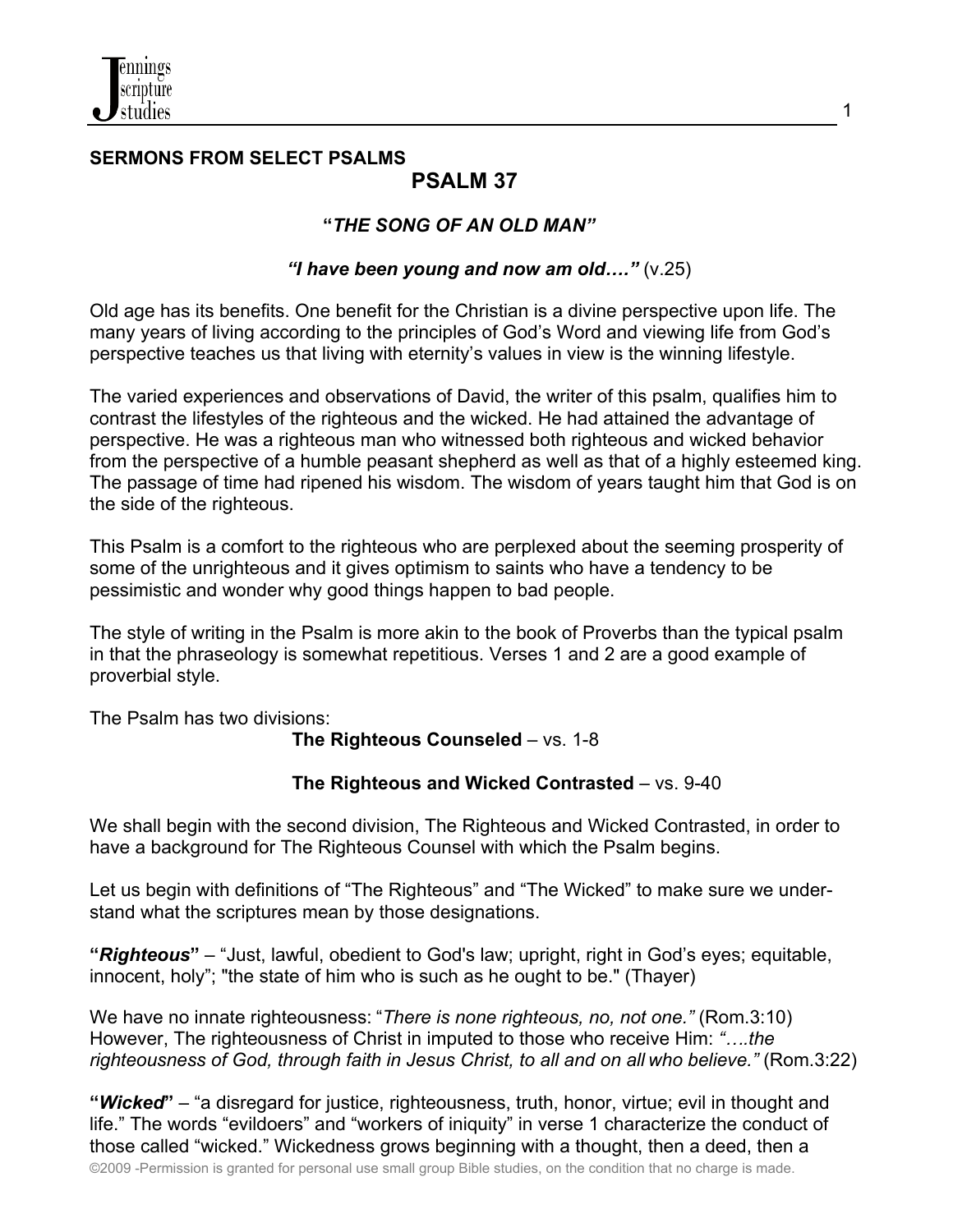

### **SERMONS FROM SELECT PSALMS PSALM 37**

# **"***THE SONG OF AN OLD MAN"*

### *"I have been young and now am old…."* (v.25)

Old age has its benefits. One benefit for the Christian is a divine perspective upon life. The many years of living according to the principles of God's Word and viewing life from God's perspective teaches us that living with eternity's values in view is the winning lifestyle.

The varied experiences and observations of David, the writer of this psalm, qualifies him to contrast the lifestyles of the righteous and the wicked. He had attained the advantage of perspective. He was a righteous man who witnessed both righteous and wicked behavior from the perspective of a humble peasant shepherd as well as that of a highly esteemed king. The passage of time had ripened his wisdom. The wisdom of years taught him that God is on the side of the righteous.

This Psalm is a comfort to the righteous who are perplexed about the seeming prosperity of some of the unrighteous and it gives optimism to saints who have a tendency to be pessimistic and wonder why good things happen to bad people.

The style of writing in the Psalm is more akin to the book of Proverbs than the typical psalm in that the phraseology is somewhat repetitious. Verses 1 and 2 are a good example of proverbial style.

The Psalm has two divisions:

### **The Righteous Counseled** – vs. 1-8

### **The Righteous and Wicked Contrasted** – vs. 9-40

We shall begin with the second division, The Righteous and Wicked Contrasted, in order to have a background for The Righteous Counsel with which the Psalm begins.

Let us begin with definitions of "The Righteous" and "The Wicked" to make sure we understand what the scriptures mean by those designations.

**"***Righteous***"** – "Just, lawful, obedient to God's law; upright, right in God's eyes; equitable, innocent, holy"; "the state of him who is such as he ought to be." (Thayer)

We have no innate righteousness: "*There is none righteous, no, not one."* (Rom.3:10) However, The righteousness of Christ in imputed to those who receive Him: *"….the righteousness of God, through faith in Jesus Christ, to all and on all who believe."* (Rom.3:22)

©2009 -Permission is granted for personal use small group Bible studies, on the condition that no charge is made. **"***Wicked***"** – "a disregard for justice, righteousness, truth, honor, virtue; evil in thought and life." The words "evildoers" and "workers of iniquity" in verse 1 characterize the conduct of those called "wicked." Wickedness grows beginning with a thought, then a deed, then a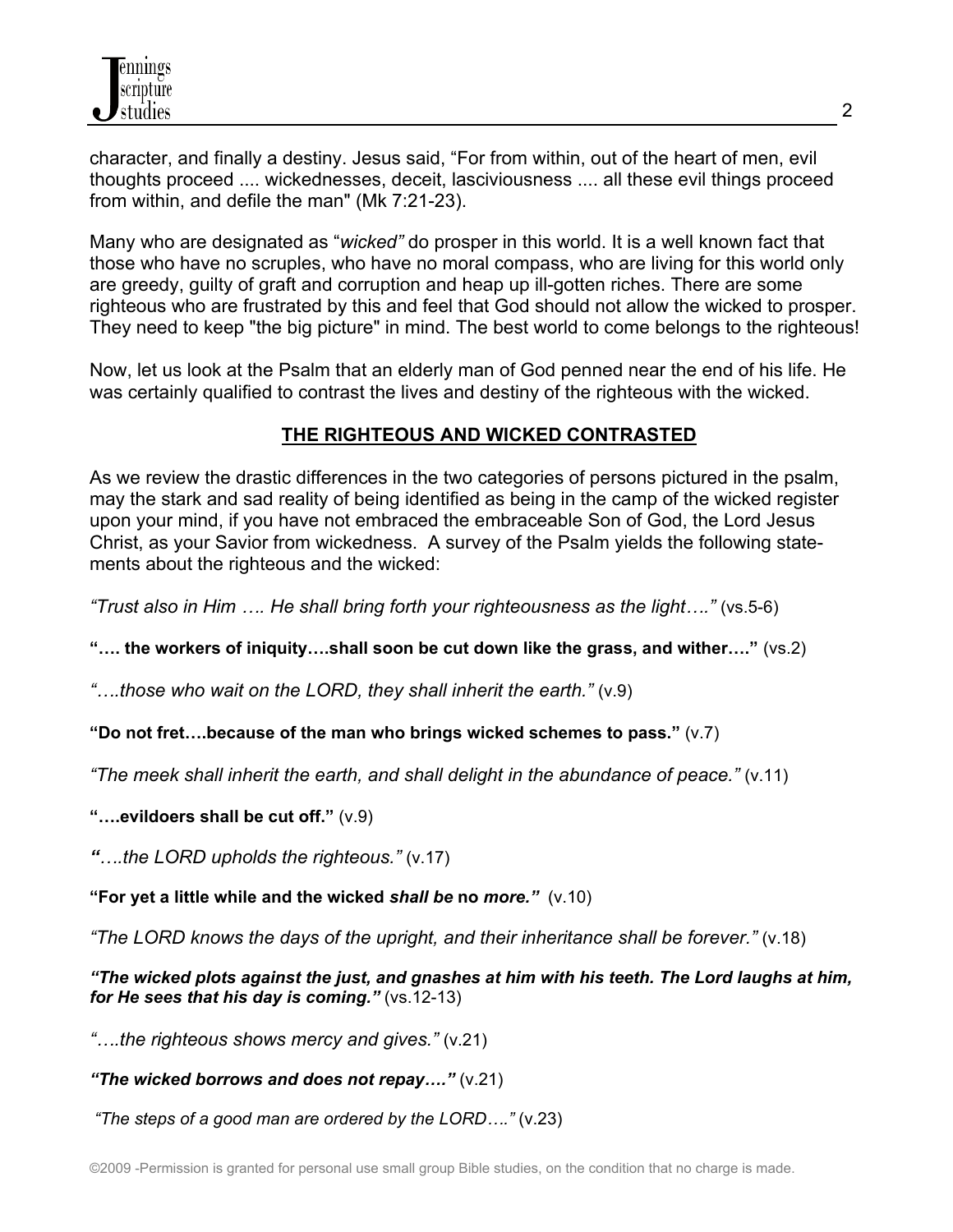character, and finally a destiny. Jesus said, "For from within, out of the heart of men, evil thoughts proceed .... wickednesses, deceit, lasciviousness .... all these evil things proceed from within, and defile the man" (Mk 7:21-23).

Many who are designated as "*wicked"* do prosper in this world. It is a well known fact that those who have no scruples, who have no moral compass, who are living for this world only are greedy, guilty of graft and corruption and heap up ill-gotten riches. There are some righteous who are frustrated by this and feel that God should not allow the wicked to prosper. They need to keep "the big picture" in mind. The best world to come belongs to the righteous!

Now, let us look at the Psalm that an elderly man of God penned near the end of his life. He was certainly qualified to contrast the lives and destiny of the righteous with the wicked.

### **THE RIGHTEOUS AND WICKED CONTRASTED**

As we review the drastic differences in the two categories of persons pictured in the psalm, may the stark and sad reality of being identified as being in the camp of the wicked register upon your mind, if you have not embraced the embraceable Son of God, the Lord Jesus Christ, as your Savior from wickedness. A survey of the Psalm yields the following statements about the righteous and the wicked:

*"Trust also in Him …. He shall bring forth your righteousness as the light…."* (vs.5-6)

**"…. the workers of iniquity….shall soon be cut down like the grass, and wither…."** (vs.2)

*"….those who wait on the LORD, they shall inherit the earth."* (v.9)

### **"Do not fret….because of the man who brings wicked schemes to pass."** (v.7)

*"The meek shall inherit the earth, and shall delight in the abundance of peace."* (v.11)

**"….evildoers shall be cut off."** (v.9)

*"….the LORD upholds the righteous."* (v.17)

**"For yet a little while and the wicked** *shall be* **no** *more."* (v.10)

*"The LORD knows the days of the upright, and their inheritance shall be forever."* (v.18)

*"The wicked plots against the just, and gnashes at him with his teeth. The Lord laughs at him, for He sees that his day is coming."* (vs.12-13)

*"….the righteous shows mercy and gives."* (v.21)

*"The wicked borrows and does not repay…."* (v.21)

*"The steps of a good man are ordered by the LORD…."* (v.23)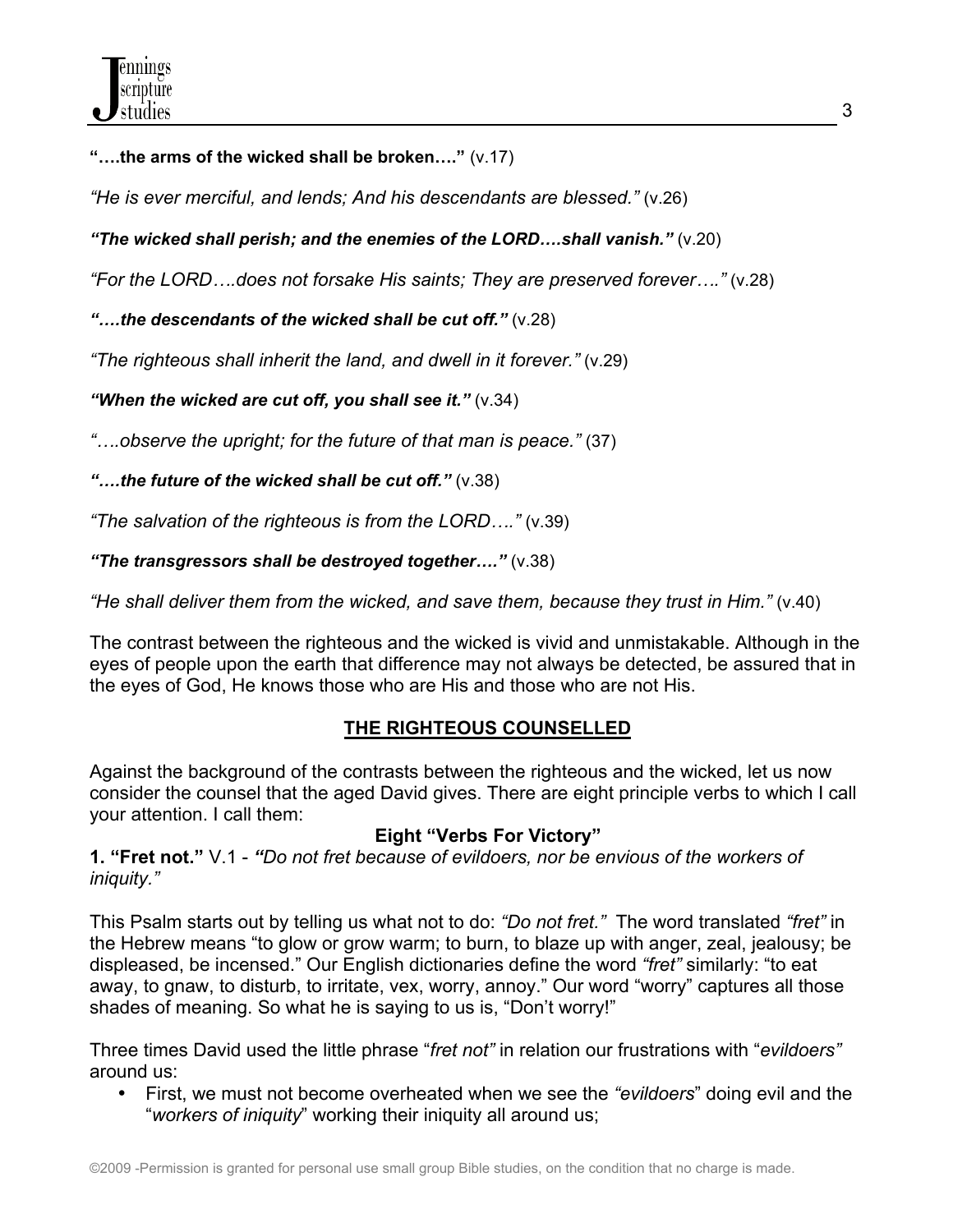**"….the arms of the wicked shall be broken…."** (v.17)

*"He is ever merciful, and lends; And his descendants are blessed."* (v.26)

*"The wicked shall perish; and the enemies of the LORD….shall vanish."* (v.20)

*"For the LORD….does not forsake His saints; They are preserved forever…."* (v.28)

*"….the descendants of the wicked shall be cut off."* (v.28)

*"The righteous shall inherit the land, and dwell in it forever."* (v.29)

*"When the wicked are cut off, you shall see it."* (v.34)

*"….observe the upright; for the future of that man is peace."* (37)

*"….the future of the wicked shall be cut off."* (v.38)

*"The salvation of the righteous is from the LORD…."* (v.39)

*"The transgressors shall be destroyed together…."* (v.38)

*"He shall deliver them from the wicked, and save them, because they trust in Him."* (v.40)

The contrast between the righteous and the wicked is vivid and unmistakable. Although in the eyes of people upon the earth that difference may not always be detected, be assured that in the eyes of God, He knows those who are His and those who are not His.

### **THE RIGHTEOUS COUNSELLED**

Against the background of the contrasts between the righteous and the wicked, let us now consider the counsel that the aged David gives. There are eight principle verbs to which I call your attention. I call them:

### **Eight "Verbs For Victory"**

**1. "Fret not."** V.1 - *"Do not fret because of evildoers, nor be envious of the workers of iniquity."*

This Psalm starts out by telling us what not to do: *"Do not fret."* The word translated *"fret"* in the Hebrew means "to glow or grow warm; to burn, to blaze up with anger, zeal, jealousy; be displeased, be incensed." Our English dictionaries define the word *"fret"* similarly: "to eat away, to gnaw, to disturb, to irritate, vex, worry, annoy." Our word "worry" captures all those shades of meaning. So what he is saying to us is, "Don't worry!"

Three times David used the little phrase "*fret not"* in relation our frustrations with "*evildoers"* around us:

• First, we must not become overheated when we see the *"evildoers*" doing evil and the "*workers of iniquity*" working their iniquity all around us;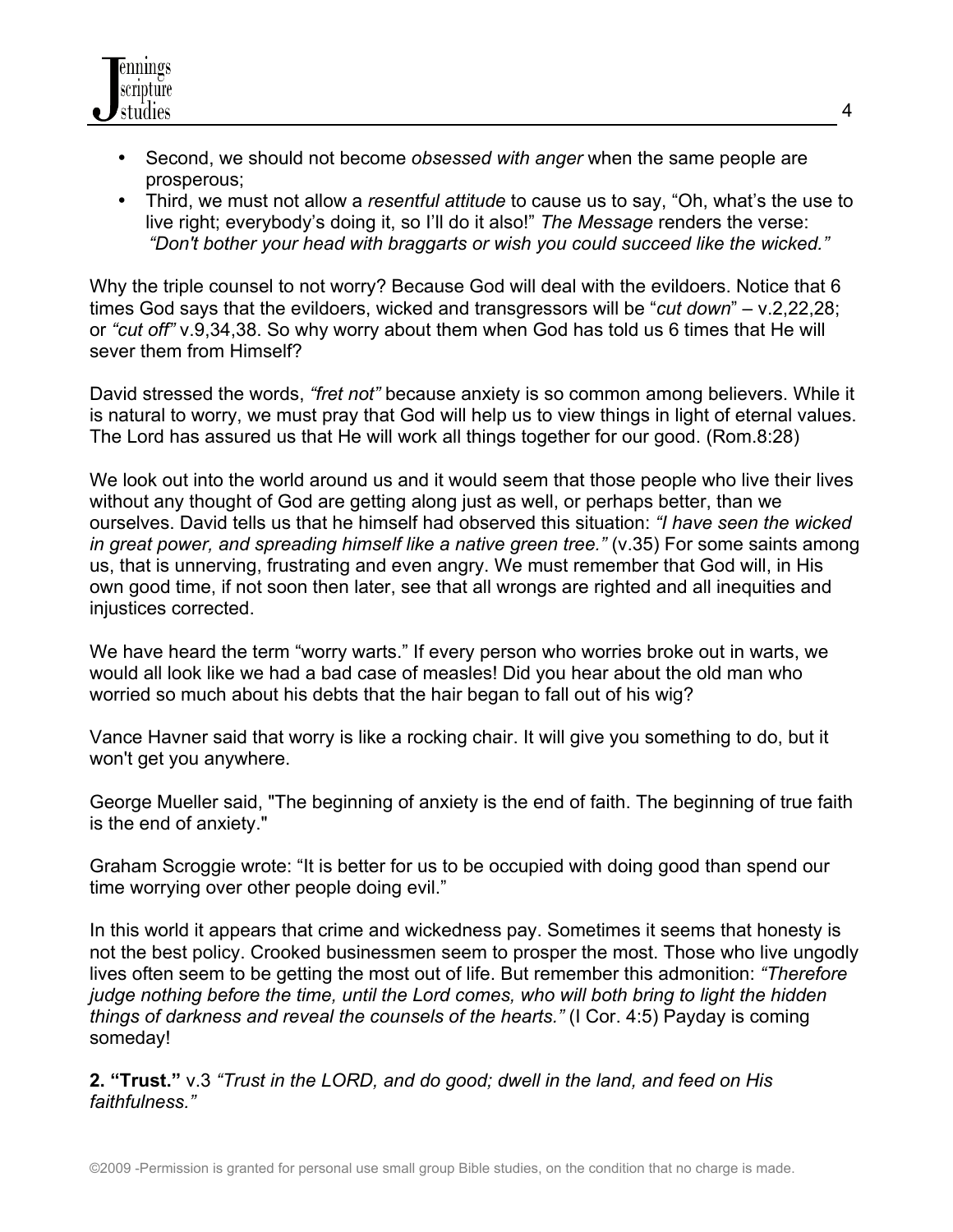

- Second, we should not become *obsessed with anger* when the same people are prosperous;
- Third, we must not allow a *resentful attitude* to cause us to say, "Oh, what's the use to live right; everybody's doing it, so I'll do it also!" *The Message* renders the verse: *"Don't bother your head with braggarts or wish you could succeed like the wicked."*

Why the triple counsel to not worry? Because God will deal with the evildoers. Notice that 6 times God says that the evildoers, wicked and transgressors will be "*cut down*" – v.2,22,28; or *"cut off"* v.9,34,38. So why worry about them when God has told us 6 times that He will sever them from Himself?

David stressed the words, *"fret not"* because anxiety is so common among believers. While it is natural to worry, we must pray that God will help us to view things in light of eternal values. The Lord has assured us that He will work all things together for our good. (Rom.8:28)

We look out into the world around us and it would seem that those people who live their lives without any thought of God are getting along just as well, or perhaps better, than we ourselves. David tells us that he himself had observed this situation: *"I have seen the wicked in great power, and spreading himself like a native green tree."* (v.35) For some saints among us, that is unnerving, frustrating and even angry. We must remember that God will, in His own good time, if not soon then later, see that all wrongs are righted and all inequities and injustices corrected.

We have heard the term "worry warts." If every person who worries broke out in warts, we would all look like we had a bad case of measles! Did you hear about the old man who worried so much about his debts that the hair began to fall out of his wig?

Vance Havner said that worry is like a rocking chair. It will give you something to do, but it won't get you anywhere.

George Mueller said, "The beginning of anxiety is the end of faith. The beginning of true faith is the end of anxiety."

Graham Scroggie wrote: "It is better for us to be occupied with doing good than spend our time worrying over other people doing evil."

In this world it appears that crime and wickedness pay. Sometimes it seems that honesty is not the best policy. Crooked businessmen seem to prosper the most. Those who live ungodly lives often seem to be getting the most out of life. But remember this admonition: *"Therefore judge nothing before the time, until the Lord comes, who will both bring to light the hidden things of darkness and reveal the counsels of the hearts."* (I Cor. 4:5) Payday is coming someday!

**2. "Trust."** v.3 *"Trust in the LORD, and do good; dwell in the land, and feed on His faithfulness."*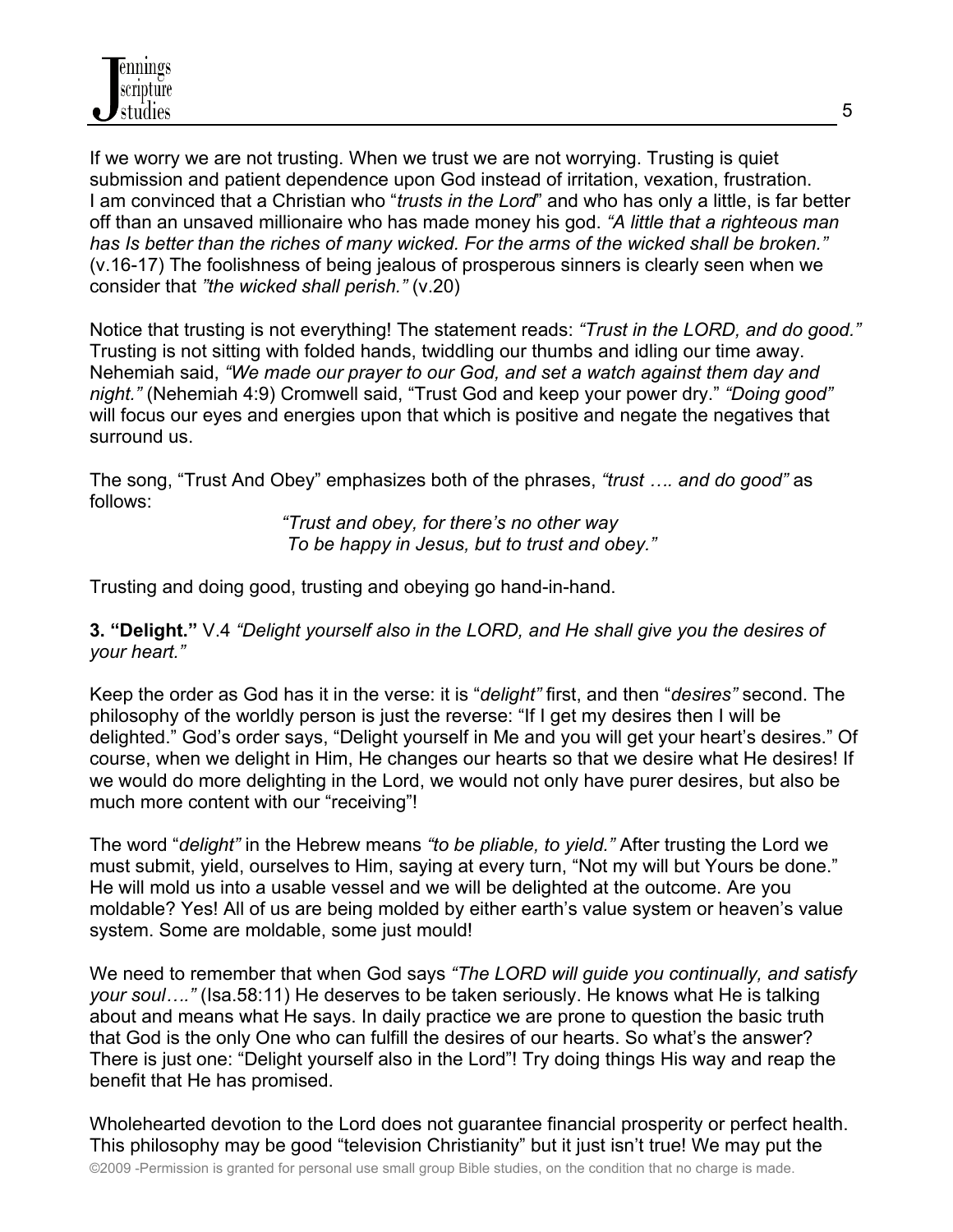If we worry we are not trusting. When we trust we are not worrying. Trusting is quiet submission and patient dependence upon God instead of irritation, vexation, frustration. I am convinced that a Christian who "*trusts in the Lord*" and who has only a little, is far better off than an unsaved millionaire who has made money his god. *"A little that a righteous man has Is better than the riches of many wicked. For the arms of the wicked shall be broken."*  (v.16-17) The foolishness of being jealous of prosperous sinners is clearly seen when we consider that *"the wicked shall perish."* (v.20)

Notice that trusting is not everything! The statement reads: *"Trust in the LORD, and do good."*  Trusting is not sitting with folded hands, twiddling our thumbs and idling our time away. Nehemiah said, *"We made our prayer to our God, and set a watch against them day and night."* (Nehemiah 4:9) Cromwell said, "Trust God and keep your power dry." *"Doing good"* will focus our eyes and energies upon that which is positive and negate the negatives that surround us.

The song, "Trust And Obey" emphasizes both of the phrases, *"trust …. and do good"* as follows:

> *"Trust and obey, for there's no other way To be happy in Jesus, but to trust and obey."*

Trusting and doing good, trusting and obeying go hand-in-hand.

**3. "Delight."** V.4 *"Delight yourself also in the LORD, and He shall give you the desires of your heart."*

Keep the order as God has it in the verse: it is "*delight"* first, and then "*desires"* second. The philosophy of the worldly person is just the reverse: "If I get my desires then I will be delighted." God's order says, "Delight yourself in Me and you will get your heart's desires." Of course, when we delight in Him, He changes our hearts so that we desire what He desires! If we would do more delighting in the Lord, we would not only have purer desires, but also be much more content with our "receiving"!

The word "*delight"* in the Hebrew means *"to be pliable, to yield."* After trusting the Lord we must submit, yield, ourselves to Him, saying at every turn, "Not my will but Yours be done." He will mold us into a usable vessel and we will be delighted at the outcome. Are you moldable? Yes! All of us are being molded by either earth's value system or heaven's value system. Some are moldable, some just mould!

We need to remember that when God says *"The LORD will guide you continually, and satisfy your soul…."* (Isa.58:11) He deserves to be taken seriously. He knows what He is talking about and means what He says. In daily practice we are prone to question the basic truth that God is the only One who can fulfill the desires of our hearts. So what's the answer? There is just one: "Delight yourself also in the Lord"! Try doing things His way and reap the benefit that He has promised.

©2009 -Permission is granted for personal use small group Bible studies, on the condition that no charge is made. Wholehearted devotion to the Lord does not guarantee financial prosperity or perfect health. This philosophy may be good "television Christianity" but it just isn't true! We may put the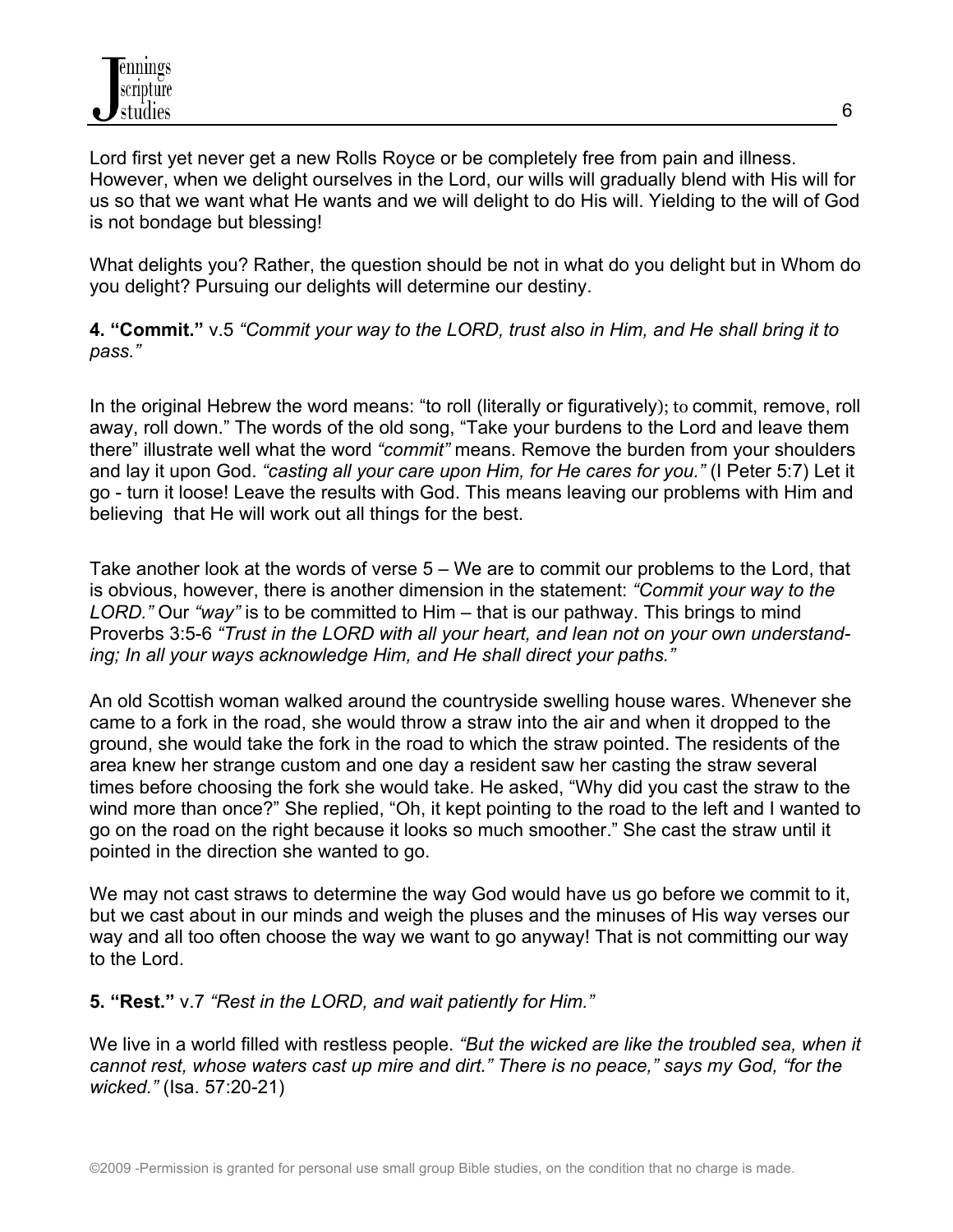Lord first yet never get a new Rolls Royce or be completely free from pain and illness. However, when we delight ourselves in the Lord, our wills will gradually blend with His will for us so that we want what He wants and we will delight to do His will. Yielding to the will of God is not bondage but blessing!

What delights you? Rather, the question should be not in what do you delight but in Whom do you delight? Pursuing our delights will determine our destiny.

**4. "Commit."** v.5 *"Commit your way to the LORD, trust also in Him, and He shall bring it to pass."*

In the original Hebrew the word means: "to roll (literally or figuratively); to commit, remove, roll away, roll down." The words of the old song, "Take your burdens to the Lord and leave them there" illustrate well what the word *"commit"* means. Remove the burden from your shoulders and lay it upon God. *"casting all your care upon Him, for He cares for you."* (I Peter 5:7) Let it go - turn it loose! Leave the results with God. This means leaving our problems with Him and believing that He will work out all things for the best.

Take another look at the words of verse 5 – We are to commit our problems to the Lord, that is obvious, however, there is another dimension in the statement: *"Commit your way to the LORD."* Our *"way"* is to be committed to Him – that is our pathway. This brings to mind Proverbs 3:5-6 *"Trust in the LORD with all your heart, and lean not on your own understanding; In all your ways acknowledge Him, and He shall direct your paths."*

An old Scottish woman walked around the countryside swelling house wares. Whenever she came to a fork in the road, she would throw a straw into the air and when it dropped to the ground, she would take the fork in the road to which the straw pointed. The residents of the area knew her strange custom and one day a resident saw her casting the straw several times before choosing the fork she would take. He asked, "Why did you cast the straw to the wind more than once?" She replied, "Oh, it kept pointing to the road to the left and I wanted to go on the road on the right because it looks so much smoother." She cast the straw until it pointed in the direction she wanted to go.

We may not cast straws to determine the way God would have us go before we commit to it, but we cast about in our minds and weigh the pluses and the minuses of His way verses our way and all too often choose the way we want to go anyway! That is not committing our way to the Lord.

### **5. "Rest."** v.7 *"Rest in the LORD, and wait patiently for Him."*

We live in a world filled with restless people. *"But the wicked are like the troubled sea, when it cannot rest, whose waters cast up mire and dirt." There is no peace," says my God, "for the wicked."* (Isa. 57:20-21)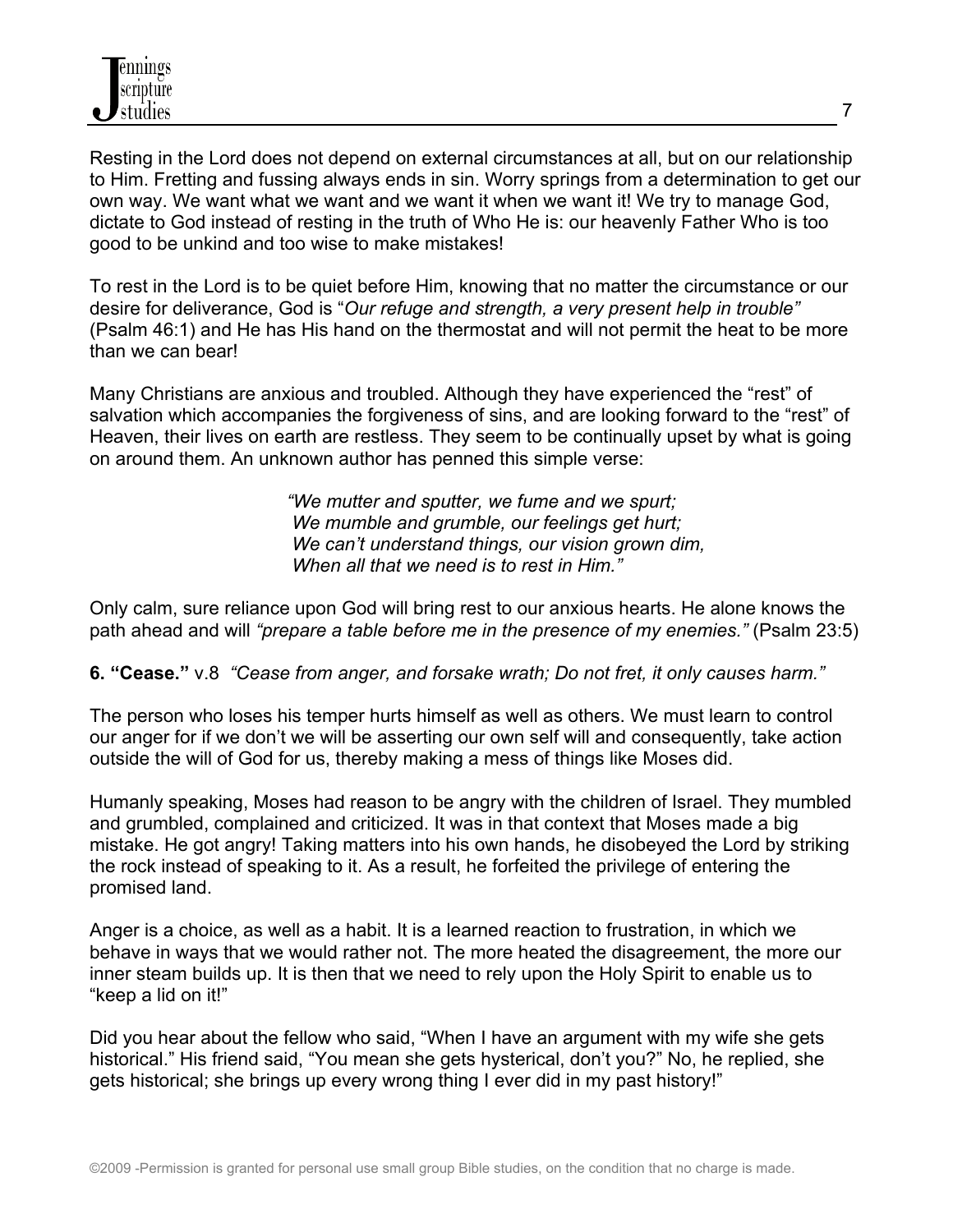Resting in the Lord does not depend on external circumstances at all, but on our relationship to Him. Fretting and fussing always ends in sin. Worry springs from a determination to get our own way. We want what we want and we want it when we want it! We try to manage God, dictate to God instead of resting in the truth of Who He is: our heavenly Father Who is too good to be unkind and too wise to make mistakes!

To rest in the Lord is to be quiet before Him, knowing that no matter the circumstance or our desire for deliverance, God is "*Our refuge and strength, a very present help in trouble"* (Psalm 46:1) and He has His hand on the thermostat and will not permit the heat to be more than we can bear!

Many Christians are anxious and troubled. Although they have experienced the "rest" of salvation which accompanies the forgiveness of sins, and are looking forward to the "rest" of Heaven, their lives on earth are restless. They seem to be continually upset by what is going on around them. An unknown author has penned this simple verse:

> *"We mutter and sputter, we fume and we spurt; We mumble and grumble, our feelings get hurt; We can't understand things, our vision grown dim, When all that we need is to rest in Him."*

Only calm, sure reliance upon God will bring rest to our anxious hearts. He alone knows the path ahead and will *"prepare a table before me in the presence of my enemies."* (Psalm 23:5)

**6. "Cease."** v.8 *"Cease from anger, and forsake wrath; Do not fret, it only causes harm."* 

The person who loses his temper hurts himself as well as others. We must learn to control our anger for if we don't we will be asserting our own self will and consequently, take action outside the will of God for us, thereby making a mess of things like Moses did.

Humanly speaking, Moses had reason to be angry with the children of Israel. They mumbled and grumbled, complained and criticized. It was in that context that Moses made a big mistake. He got angry! Taking matters into his own hands, he disobeyed the Lord by striking the rock instead of speaking to it. As a result, he forfeited the privilege of entering the promised land.

Anger is a choice, as well as a habit. It is a learned reaction to frustration, in which we behave in ways that we would rather not. The more heated the disagreement, the more our inner steam builds up. It is then that we need to rely upon the Holy Spirit to enable us to "keep a lid on it!"

Did you hear about the fellow who said, "When I have an argument with my wife she gets historical." His friend said, "You mean she gets hysterical, don't you?" No, he replied, she gets historical; she brings up every wrong thing I ever did in my past history!"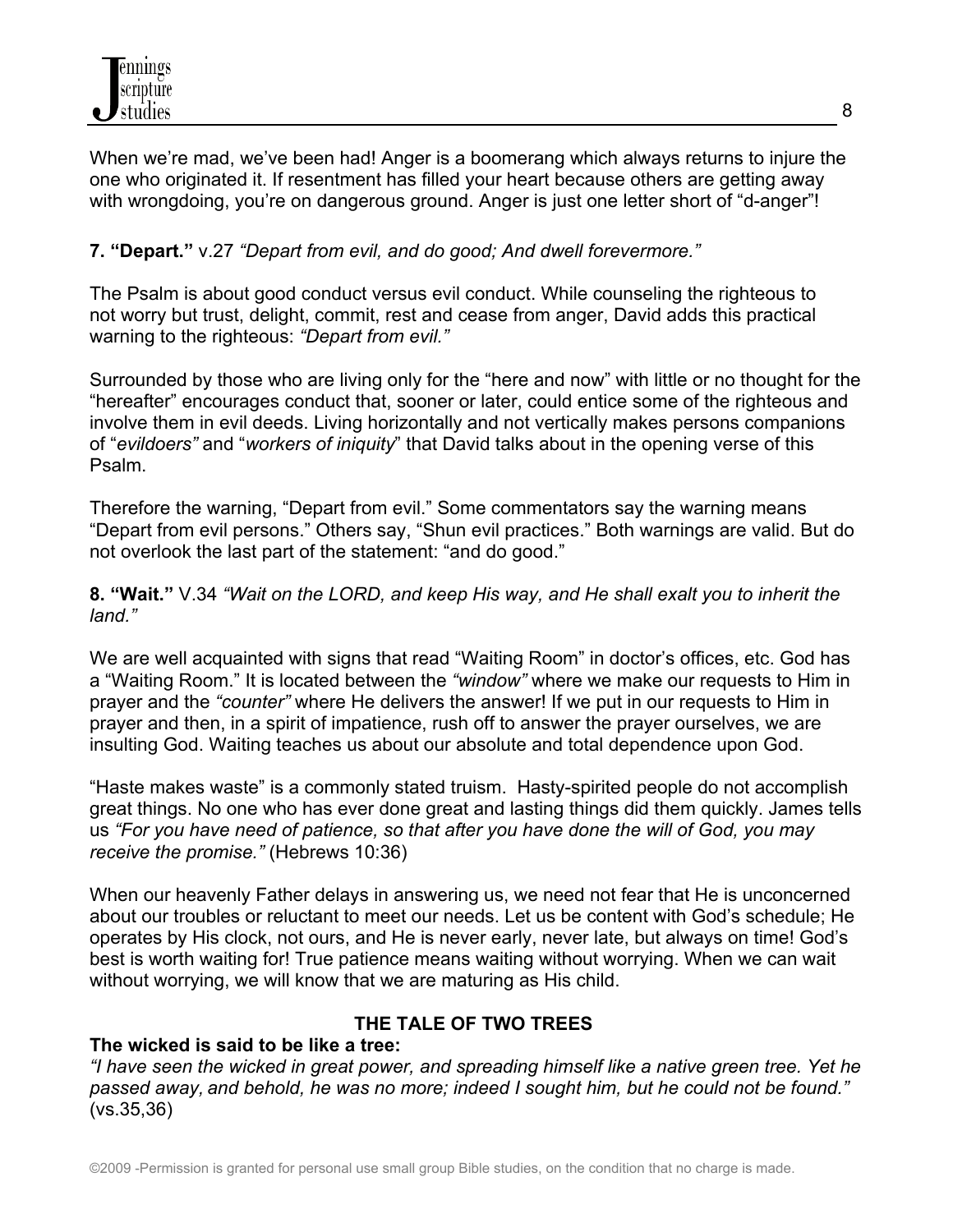When we're mad, we've been had! Anger is a boomerang which always returns to injure the one who originated it. If resentment has filled your heart because others are getting away with wrongdoing, you're on dangerous ground. Anger is just one letter short of "d-anger"!

# **7. "Depart."** v.27 *"Depart from evil, and do good; And dwell forevermore."*

The Psalm is about good conduct versus evil conduct. While counseling the righteous to not worry but trust, delight, commit, rest and cease from anger, David adds this practical warning to the righteous: *"Depart from evil."*

Surrounded by those who are living only for the "here and now" with little or no thought for the "hereafter" encourages conduct that, sooner or later, could entice some of the righteous and involve them in evil deeds. Living horizontally and not vertically makes persons companions of "*evildoers"* and "*workers of iniquity*" that David talks about in the opening verse of this Psalm.

Therefore the warning, "Depart from evil." Some commentators say the warning means "Depart from evil persons." Others say, "Shun evil practices." Both warnings are valid. But do not overlook the last part of the statement: "and do good."

**8. "Wait."** V.34 *"Wait on the LORD, and keep His way, and He shall exalt you to inherit the land."*

We are well acquainted with signs that read "Waiting Room" in doctor's offices, etc. God has a "Waiting Room." It is located between the *"window"* where we make our requests to Him in prayer and the *"counter"* where He delivers the answer! If we put in our requests to Him in prayer and then, in a spirit of impatience, rush off to answer the prayer ourselves, we are insulting God. Waiting teaches us about our absolute and total dependence upon God.

"Haste makes waste" is a commonly stated truism. Hasty-spirited people do not accomplish great things. No one who has ever done great and lasting things did them quickly. James tells us *"For you have need of patience, so that after you have done the will of God, you may receive the promise."* (Hebrews 10:36)

When our heavenly Father delays in answering us, we need not fear that He is unconcerned about our troubles or reluctant to meet our needs. Let us be content with God's schedule; He operates by His clock, not ours, and He is never early, never late, but always on time! God's best is worth waiting for! True patience means waiting without worrying. When we can wait without worrying, we will know that we are maturing as His child.

### **THE TALE OF TWO TREES**

### **The wicked is said to be like a tree:**

*"I have seen the wicked in great power, and spreading himself like a native green tree. Yet he passed away, and behold, he was no more; indeed I sought him, but he could not be found."* (vs.35,36)